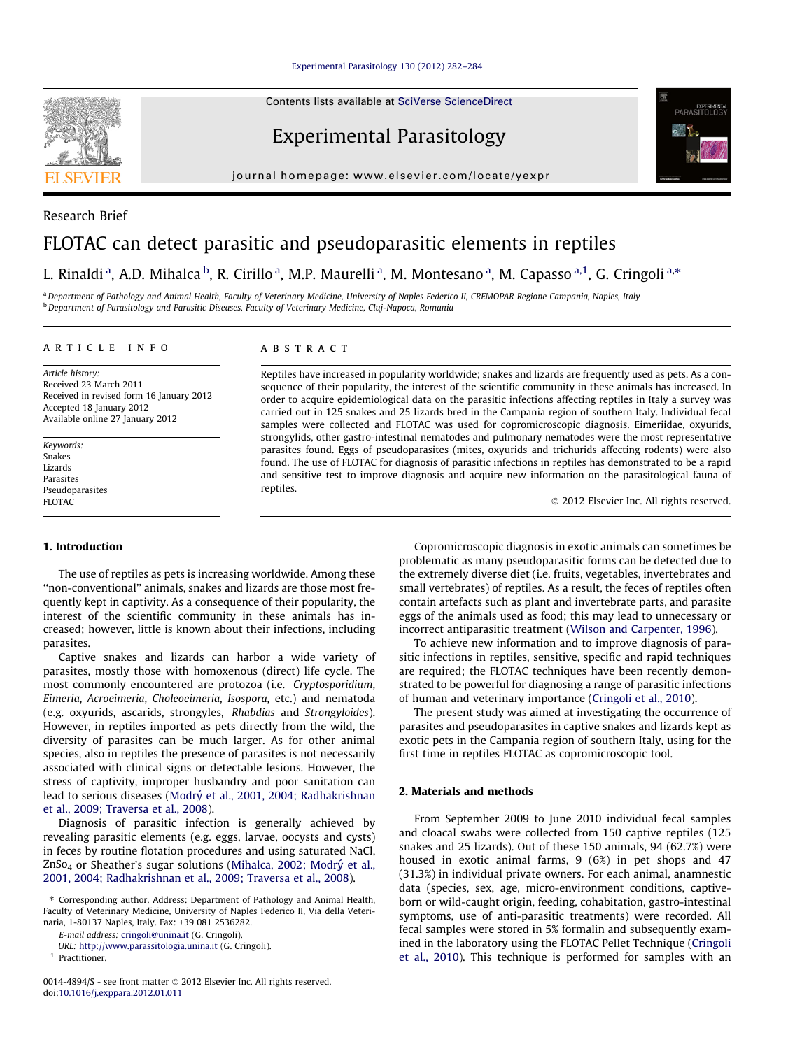## [Experimental Parasitology 130 \(2012\) 282–284](http://dx.doi.org/10.1016/j.exppara.2012.01.011)

Contents lists available at [SciVerse ScienceDirect](http://www.sciencedirect.com/science/journal/00144894)

## Experimental Parasitology

journal homepage: [www.elsevier.com/locate/yexpr](http://www.elsevier.com/locate/yexpr)

# Research Brief FLOTAC can detect parasitic and pseudoparasitic elements in reptiles

## L. Rinaldi <sup>a</sup>, A.D. Mihalca <sup>b</sup>, R. Cirillo <sup>a</sup>, M.P. Maurelli <sup>a</sup>, M. Montesano <sup>a</sup>, M. Capasso <sup>a,1</sup>, G. Cringoli <sup>a,</sup>\*

a Department of Pathology and Animal Health, Faculty of Veterinary Medicine, University of Naples Federico II, CREMOPAR Regione Campania, Naples, Italy <sup>b</sup> Department of Parasitology and Parasitic Diseases, Faculty of Veterinary Medicine, Cluj-Napoca, Romania

## article info

Article history: Received 23 March 2011 Received in revised form 16 January 2012 Accepted 18 January 2012 Available online 27 January 2012

Keywords: Snakes Lizards Parasites Pseudoparasites FLOTAC

### 1. Introduction

The use of reptiles as pets is increasing worldwide. Among these ''non-conventional'' animals, snakes and lizards are those most frequently kept in captivity. As a consequence of their popularity, the interest of the scientific community in these animals has increased; however, little is known about their infections, including parasites.

Captive snakes and lizards can harbor a wide variety of parasites, mostly those with homoxenous (direct) life cycle. The most commonly encountered are protozoa (i.e. Cryptosporidium, Eimeria, Acroeimeria, Choleoeimeria, Isospora, etc.) and nematoda (e.g. oxyurids, ascarids, strongyles, Rhabdias and Strongyloides). However, in reptiles imported as pets directly from the wild, the diversity of parasites can be much larger. As for other animal species, also in reptiles the presence of parasites is not necessarily associated with clinical signs or detectable lesions. However, the stress of captivity, improper husbandry and poor sanitation can lead to serious diseases (Modrý [et al., 2001, 2004; Radhakrishnan](#page-2-0) [et al., 2009; Traversa et al., 2008](#page-2-0)).

Diagnosis of parasitic infection is generally achieved by revealing parasitic elements (e.g. eggs, larvae, oocysts and cysts) in feces by routine flotation procedures and using saturated NaCl, ZnSo<sub>4</sub> or Sheather's sugar solutions (Mihalca, 2002; Modrý et al., [2001, 2004; Radhakrishnan et al., 2009; Traversa et al., 2008\)](#page-2-0).

URL: <http://www.parassitologia.unina.it> (G. Cringoli).

## **ABSTRACT**

Reptiles have increased in popularity worldwide; snakes and lizards are frequently used as pets. As a consequence of their popularity, the interest of the scientific community in these animals has increased. In order to acquire epidemiological data on the parasitic infections affecting reptiles in Italy a survey was carried out in 125 snakes and 25 lizards bred in the Campania region of southern Italy. Individual fecal samples were collected and FLOTAC was used for copromicroscopic diagnosis. Eimeriidae, oxyurids, strongylids, other gastro-intestinal nematodes and pulmonary nematodes were the most representative parasites found. Eggs of pseudoparasites (mites, oxyurids and trichurids affecting rodents) were also found. The use of FLOTAC for diagnosis of parasitic infections in reptiles has demonstrated to be a rapid and sensitive test to improve diagnosis and acquire new information on the parasitological fauna of reptiles.

- 2012 Elsevier Inc. All rights reserved.

Copromicroscopic diagnosis in exotic animals can sometimes be problematic as many pseudoparasitic forms can be detected due to the extremely diverse diet (i.e. fruits, vegetables, invertebrates and small vertebrates) of reptiles. As a result, the feces of reptiles often contain artefacts such as plant and invertebrate parts, and parasite eggs of the animals used as food; this may lead to unnecessary or incorrect antiparasitic treatment [\(Wilson and Carpenter, 1996\)](#page-2-0).

To achieve new information and to improve diagnosis of parasitic infections in reptiles, sensitive, specific and rapid techniques are required; the FLOTAC techniques have been recently demonstrated to be powerful for diagnosing a range of parasitic infections of human and veterinary importance [\(Cringoli et al., 2010](#page-2-0)).

The present study was aimed at investigating the occurrence of parasites and pseudoparasites in captive snakes and lizards kept as exotic pets in the Campania region of southern Italy, using for the first time in reptiles FLOTAC as copromicroscopic tool.

## 2. Materials and methods

From September 2009 to June 2010 individual fecal samples and cloacal swabs were collected from 150 captive reptiles (125 snakes and 25 lizards). Out of these 150 animals, 94 (62.7%) were housed in exotic animal farms, 9 (6%) in pet shops and 47 (31.3%) in individual private owners. For each animal, anamnestic data (species, sex, age, micro-environment conditions, captiveborn or wild-caught origin, feeding, cohabitation, gastro-intestinal symptoms, use of anti-parasitic treatments) were recorded. All fecal samples were stored in 5% formalin and subsequently examined in the laboratory using the FLOTAC Pellet Technique [\(Cringoli](#page-2-0) [et al., 2010\)](#page-2-0). This technique is performed for samples with an





<sup>⇑</sup> Corresponding author. Address: Department of Pathology and Animal Health, Faculty of Veterinary Medicine, University of Naples Federico II, Via della Veterinaria, 1-80137 Naples, Italy. Fax: +39 081 2536282.

E-mail address: [cringoli@unina.it](mailto:cringoli@unina.it) (G. Cringoli).

<sup>&</sup>lt;sup>1</sup> Practitioner.

<sup>0014-4894/\$ -</sup> see front matter © 2012 Elsevier Inc. All rights reserved. doi:[10.1016/j.exppara.2012.01.011](http://dx.doi.org/10.1016/j.exppara.2012.01.011)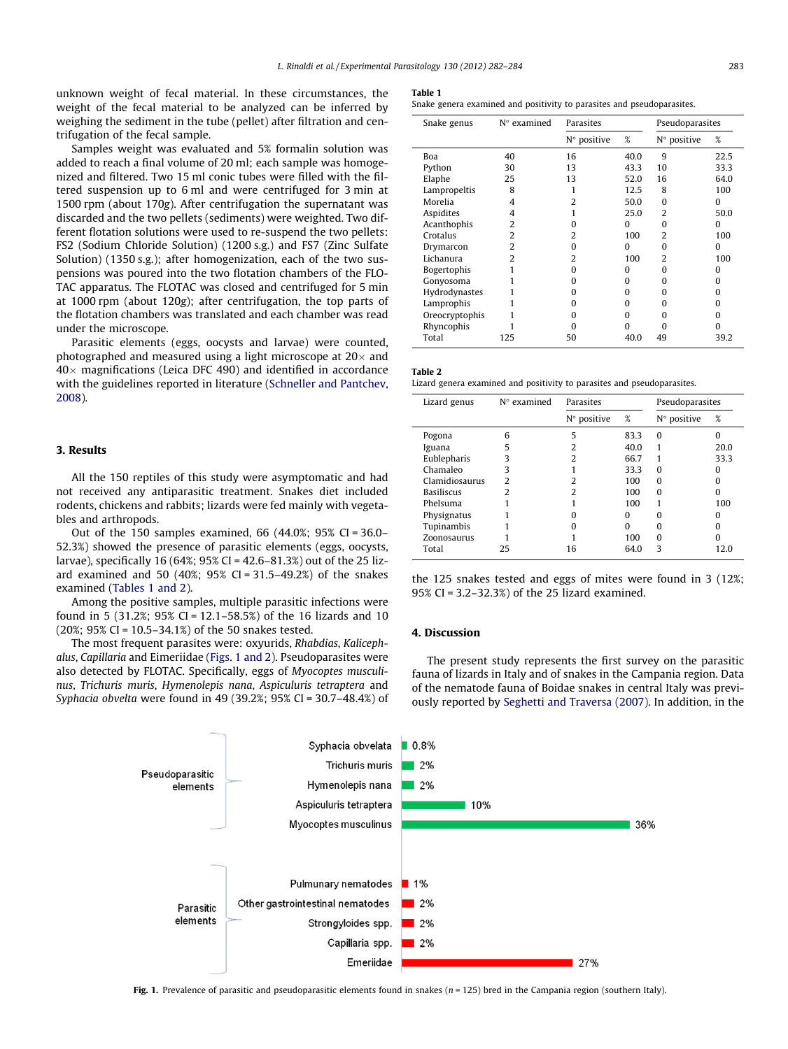unknown weight of fecal material. In these circumstances, the weight of the fecal material to be analyzed can be inferred by weighing the sediment in the tube (pellet) after filtration and centrifugation of the fecal sample.

Samples weight was evaluated and 5% formalin solution was added to reach a final volume of 20 ml; each sample was homogenized and filtered. Two 15 ml conic tubes were filled with the filtered suspension up to 6 ml and were centrifuged for 3 min at 1500 rpm (about 170g). After centrifugation the supernatant was discarded and the two pellets (sediments) were weighted. Two different flotation solutions were used to re-suspend the two pellets: FS2 (Sodium Chloride Solution) (1200 s.g.) and FS7 (Zinc Sulfate Solution) (1350 s.g.); after homogenization, each of the two suspensions was poured into the two flotation chambers of the FLO-TAC apparatus. The FLOTAC was closed and centrifuged for 5 min at 1000 rpm (about 120g); after centrifugation, the top parts of the flotation chambers was translated and each chamber was read under the microscope.

Parasitic elements (eggs, oocysts and larvae) were counted, photographed and measured using a light microscope at 20 $\times$  and 40 $\times$  magnifications (Leica DFC 490) and identified in accordance with the guidelines reported in literature ([Schneller and Pantchev,](#page-2-0) [2008](#page-2-0)).

## 3. Results

All the 150 reptiles of this study were asymptomatic and had not received any antiparasitic treatment. Snakes diet included rodents, chickens and rabbits; lizards were fed mainly with vegetables and arthropods.

Out of the 150 samples examined, 66 (44.0%; 95% CI = 36.0– 52.3%) showed the presence of parasitic elements (eggs, oocysts, larvae), specifically 16 (64%; 95% CI = 42.6–81.3%) out of the 25 lizard examined and 50 (40%; 95% CI = 31.5–49.2%) of the snakes examined (Tables 1 and 2).

Among the positive samples, multiple parasitic infections were found in 5 (31.2%; 95% CI = 12.1–58.5%) of the 16 lizards and 10 (20%; 95% CI = 10.5–34.1%) of the 50 snakes tested.

The most frequent parasites were: oxyurids, Rhabdias, Kalicephalus, Capillaria and Eimeriidae (Figs. 1 and 2). Pseudoparasites were also detected by FLOTAC. Specifically, eggs of Myocoptes musculinus, Trichuris muris, Hymenolepis nana, Aspiculuris tetraptera and Syphacia obvelta were found in 49 (39.2%; 95% CI = 30.7–48.4%) of

Snake genera examined and positivity to parasites and pseudoparasites.

| Snake genus    | $N^{\circ}$ examined     | Parasites                |          | Pseudoparasites      |          |
|----------------|--------------------------|--------------------------|----------|----------------------|----------|
|                |                          | $N^{\circ}$ positive     | %        | $N^{\circ}$ positive | %        |
| Boa            | 40                       | 16                       | 40.0     | 9                    | 22.5     |
| Python         | 30                       | 13                       | 43.3     | 10                   | 33.3     |
| Elaphe         | 25                       | 13                       | 52.0     | 16                   | 64.0     |
| Lampropeltis   | 8                        | 1                        | 12.5     | 8                    | 100      |
| Morelia        | 4                        | 2                        | 50.0     | $\Omega$             | 0        |
| Aspidites      | 4                        |                          | 25.0     | 2                    | 50.0     |
| Acanthophis    | 2                        | o                        | 0        | O                    | 0        |
| Crotalus       | $\overline{\mathcal{L}}$ | $\overline{\mathcal{L}}$ | 100      | $\mathcal{L}$        | 100      |
| Drymarcon      | 2                        | O                        | $\Omega$ | n                    | $\Omega$ |
| Lichanura      | 2                        | 2                        | 100      | 2                    | 100      |
| Bogertophis    |                          | n                        | $\Omega$ | n                    | O        |
| Gonyosoma      |                          | o                        | $\Omega$ | o                    | O        |
| Hydrodynastes  |                          | O                        | $\Omega$ | n                    | O        |
| Lamprophis     |                          | O                        | $\Omega$ | n                    | o        |
| Oreocryptophis |                          | $\Omega$                 | $\Omega$ | U                    | n        |
| Rhyncophis     |                          | n                        | $\Omega$ | n                    | n        |
| Total          | 125                      | 50                       | 40.0     | 49                   | 39.2     |

Table 2

Lizard genera examined and positivity to parasites and pseudoparasites.

| Lizard genus      | $N^{\circ}$ examined | Parasites            |      | Pseudoparasites      |      |
|-------------------|----------------------|----------------------|------|----------------------|------|
|                   |                      | $N^{\circ}$ positive | %    | $N^{\circ}$ positive | %    |
| Pogona            | հ                    | 5                    | 83.3 | $\Omega$             | O    |
| Iguana            | 5                    |                      | 40.0 |                      | 20.0 |
| Eublepharis       |                      | 2                    | 66.7 |                      | 33.3 |
| Chamaleo          | 3                    |                      | 33.3 | U                    | n    |
| Clamidiosaurus    | っ                    | 2                    | 100  | 0                    | o    |
| <b>Basiliscus</b> | っ                    | 2                    | 100  | U                    |      |
| Phelsuma          |                      |                      | 100  |                      | 100  |
| Physignatus       |                      |                      | o    |                      |      |
| Tupinambis        |                      | O                    | O    | O                    |      |
| Zoonosaurus       |                      |                      | 100  | 0                    |      |
| Total             | 25                   | 16                   | 64.0 | ς                    | 12.0 |

the 125 snakes tested and eggs of mites were found in 3 (12%; 95% CI = 3.2–32.3%) of the 25 lizard examined.

#### 4. Discussion

The present study represents the first survey on the parasitic fauna of lizards in Italy and of snakes in the Campania region. Data of the nematode fauna of Boidae snakes in central Italy was previously reported by [Seghetti and Traversa \(2007\)](#page-2-0). In addition, in the



Fig. 1. Prevalence of parasitic and pseudoparasitic elements found in snakes ( $n = 125$ ) bred in the Campania region (southern Italy).